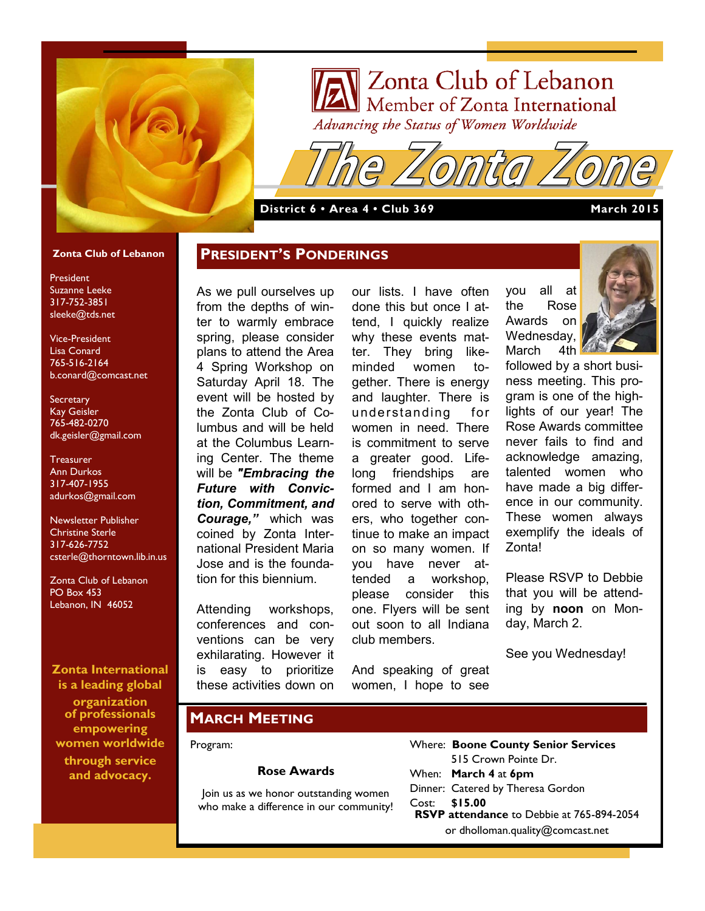

# Zonta Club of Lebanon Member of Zonta International Advancing the Status of Women Worldwide

**District 6 • Area 4 • Club 369 March 2015**

**PRESIDENT'S PONDERINGS**

### **Zonta Club of Lebanon**

President Suzanne Leeke 317-752-3851 sleeke@tds.net

Vice-President Lisa Conard 765-516-2164 b.conard@comcast.net

**Secretary** Kay Geisler 765-482-0270 dk.geisler@gmail.com

**Treasurer** Ann Durkos 317-407-1955 adurkos@gmail.com

Newsletter Publisher Christine Sterle 317-626-7752 csterle@thorntown.lib.in.us

Zonta Club of Lebanon PO Box 453 Lebanon, IN 46052

**Zonta International is a leading global** 

**organization of professionals empowering women worldwide through service and advocacy.**

As we pull ourselves up from the depths of winter to warmly embrace spring, please consider plans to attend the Area 4 Spring Workshop on Saturday April 18. The event will be hosted by the Zonta Club of Columbus and will be held at the Columbus Learning Center. The theme will be *"Embracing the Future with Conviction, Commitment, and Courage,"* which was coined by Zonta International President Maria Jose and is the foundation for this biennium.

Attending workshops, conferences and conventions can be very exhilarating. However it is easy to prioritize these activities down on

our lists. I have often done this but once I attend, I quickly realize why these events matter. They bring likeminded women together. There is energy and laughter. There is understanding for women in need. There is commitment to serve a greater good. Lifelong friendships are formed and I am honored to serve with others, who together continue to make an impact on so many women. If you have never attended a workshop, please consider this one. Flyers will be sent out soon to all Indiana club members.

And speaking of great women, I hope to see

you all at the Rose Awards on Wednesday, March 4th



followed by a short business meeting. This program is one of the highlights of our year! The Rose Awards committee never fails to find and acknowledge amazing, talented women who have made a big difference in our community. These women always exemplify the ideals of Zonta!

Please RSVP to Debbie that you will be attending by **noon** on Monday, March 2.

See you Wednesday!

## **MARCH MEETING**

#### Program:

### **Rose Awards**

Join us as we honor outstanding women who make a difference in our community!

|                                                  | <b>Where: Boone County Senior Services</b> |
|--------------------------------------------------|--------------------------------------------|
|                                                  | 515 Crown Pointe Dr.                       |
|                                                  | When: March 4 at 6pm                       |
|                                                  | Dinner: Catered by Theresa Gordon          |
| Cost: \$15.00                                    |                                            |
| <b>RSVP attendance to Debbie at 765-894-2054</b> |                                            |
| or dholloman.quality@comcast.net                 |                                            |